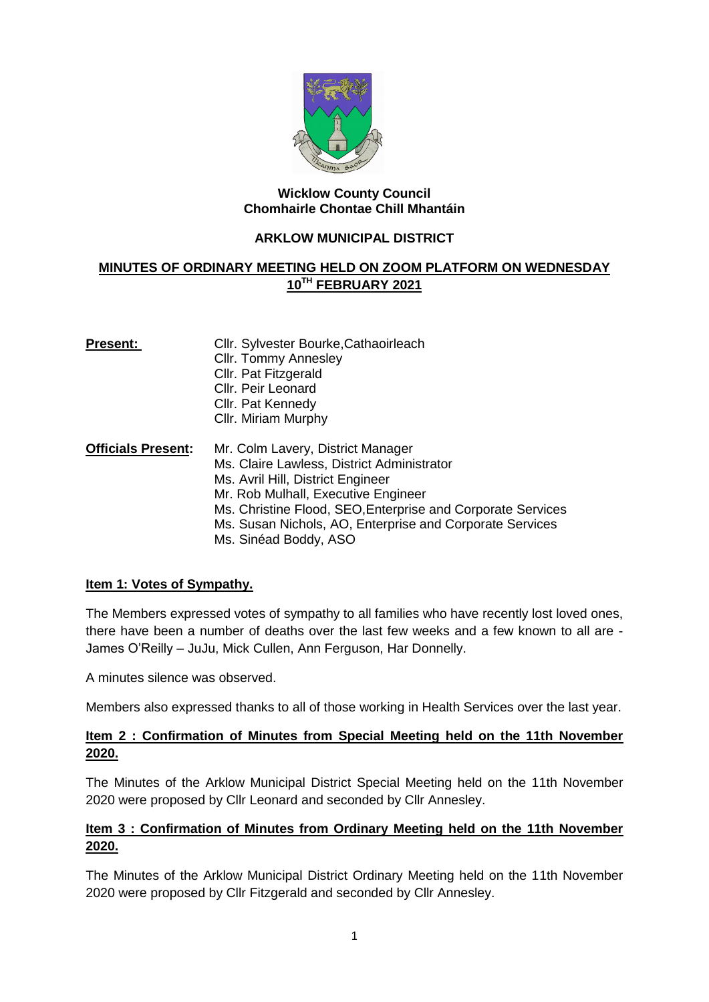

#### **Wicklow County Council Chomhairle Chontae Chill Mhantáin**

## **ARKLOW MUNICIPAL DISTRICT**

# **MINUTES OF ORDINARY MEETING HELD ON ZOOM PLATFORM ON WEDNESDAY 10TH FEBRUARY 2021**

| <b>Present:</b>           | Cllr. Sylvester Bourke, Cathaoirleach<br><b>Cllr. Tommy Annesley</b><br>Cllr. Pat Fitzgerald<br><b>CIIr. Peir Leonard</b><br>Cllr. Pat Kennedy<br>Cllr. Miriam Murphy                                                                                                                                           |
|---------------------------|-----------------------------------------------------------------------------------------------------------------------------------------------------------------------------------------------------------------------------------------------------------------------------------------------------------------|
| <b>Officials Present:</b> | Mr. Colm Lavery, District Manager<br>Ms. Claire Lawless, District Administrator<br>Ms. Avril Hill, District Engineer<br>Mr. Rob Mulhall, Executive Engineer<br>Ms. Christine Flood, SEO, Enterprise and Corporate Services<br>Ms. Susan Nichols, AO, Enterprise and Corporate Services<br>Ms. Sinéad Boddy, ASO |

# **Item 1: Votes of Sympathy.**

The Members expressed votes of sympathy to all families who have recently lost loved ones, there have been a number of deaths over the last few weeks and a few known to all are - James O'Reilly – JuJu, Mick Cullen, Ann Ferguson, Har Donnelly.

A minutes silence was observed.

Members also expressed thanks to all of those working in Health Services over the last year.

# **Item 2 : Confirmation of Minutes from Special Meeting held on the 11th November 2020.**

The Minutes of the Arklow Municipal District Special Meeting held on the 11th November 2020 were proposed by Cllr Leonard and seconded by Cllr Annesley.

# **Item 3 : Confirmation of Minutes from Ordinary Meeting held on the 11th November 2020.**

The Minutes of the Arklow Municipal District Ordinary Meeting held on the 11th November 2020 were proposed by Cllr Fitzgerald and seconded by Cllr Annesley.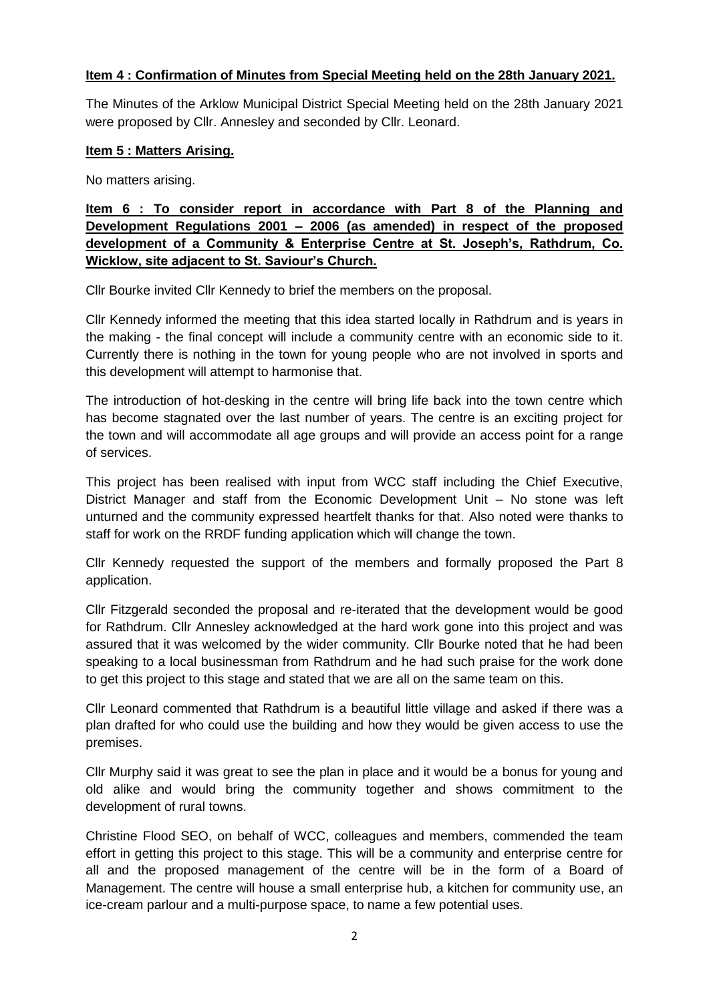## **Item 4 : Confirmation of Minutes from Special Meeting held on the 28th January 2021.**

The Minutes of the Arklow Municipal District Special Meeting held on the 28th January 2021 were proposed by Cllr. Annesley and seconded by Cllr. Leonard.

#### **Item 5 : Matters Arising.**

No matters arising.

**Item 6 : To consider report in accordance with Part 8 of the Planning and Development Regulations 2001 – 2006 (as amended) in respect of the proposed development of a Community & Enterprise Centre at St. Joseph's, Rathdrum, Co. Wicklow, site adjacent to St. Saviour's Church.**

Cllr Bourke invited Cllr Kennedy to brief the members on the proposal.

Cllr Kennedy informed the meeting that this idea started locally in Rathdrum and is years in the making - the final concept will include a community centre with an economic side to it. Currently there is nothing in the town for young people who are not involved in sports and this development will attempt to harmonise that.

The introduction of hot-desking in the centre will bring life back into the town centre which has become stagnated over the last number of years. The centre is an exciting project for the town and will accommodate all age groups and will provide an access point for a range of services.

This project has been realised with input from WCC staff including the Chief Executive, District Manager and staff from the Economic Development Unit – No stone was left unturned and the community expressed heartfelt thanks for that. Also noted were thanks to staff for work on the RRDF funding application which will change the town.

Cllr Kennedy requested the support of the members and formally proposed the Part 8 application.

Cllr Fitzgerald seconded the proposal and re-iterated that the development would be good for Rathdrum. Cllr Annesley acknowledged at the hard work gone into this project and was assured that it was welcomed by the wider community. Cllr Bourke noted that he had been speaking to a local businessman from Rathdrum and he had such praise for the work done to get this project to this stage and stated that we are all on the same team on this.

Cllr Leonard commented that Rathdrum is a beautiful little village and asked if there was a plan drafted for who could use the building and how they would be given access to use the premises.

Cllr Murphy said it was great to see the plan in place and it would be a bonus for young and old alike and would bring the community together and shows commitment to the development of rural towns.

Christine Flood SEO, on behalf of WCC, colleagues and members, commended the team effort in getting this project to this stage. This will be a community and enterprise centre for all and the proposed management of the centre will be in the form of a Board of Management. The centre will house a small enterprise hub, a kitchen for community use, an ice-cream parlour and a multi-purpose space, to name a few potential uses.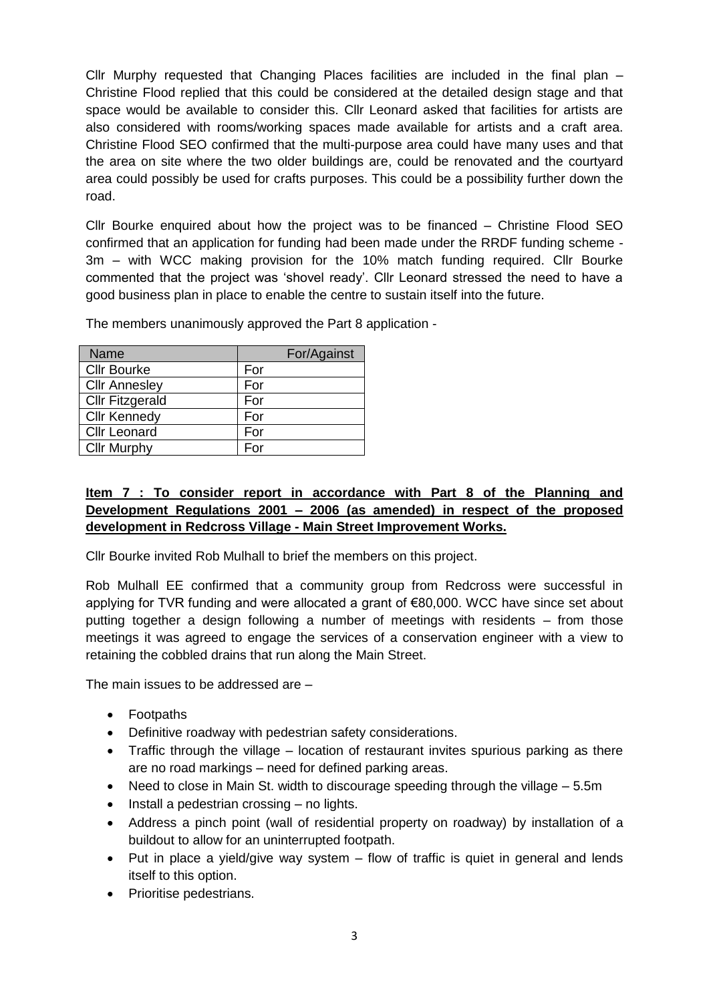Cllr Murphy requested that Changing Places facilities are included in the final plan  $-$ Christine Flood replied that this could be considered at the detailed design stage and that space would be available to consider this. Cllr Leonard asked that facilities for artists are also considered with rooms/working spaces made available for artists and a craft area. Christine Flood SEO confirmed that the multi-purpose area could have many uses and that the area on site where the two older buildings are, could be renovated and the courtyard area could possibly be used for crafts purposes. This could be a possibility further down the road.

Cllr Bourke enquired about how the project was to be financed – Christine Flood SEO confirmed that an application for funding had been made under the RRDF funding scheme - 3m – with WCC making provision for the 10% match funding required. Cllr Bourke commented that the project was 'shovel ready'. Cllr Leonard stressed the need to have a good business plan in place to enable the centre to sustain itself into the future.

The members unanimously approved the Part 8 application -

| Name                   | For/Against |
|------------------------|-------------|
| <b>Cllr Bourke</b>     | For         |
| <b>Cllr Annesley</b>   | For         |
| <b>Cllr Fitzgerald</b> | For         |
| <b>Cllr Kennedy</b>    | For         |
| <b>Cllr Leonard</b>    | For         |
| <b>Cllr Murphy</b>     | For         |

# **Item 7 : To consider report in accordance with Part 8 of the Planning and Development Regulations 2001 – 2006 (as amended) in respect of the proposed development in Redcross Village - Main Street Improvement Works.**

Cllr Bourke invited Rob Mulhall to brief the members on this project.

Rob Mulhall EE confirmed that a community group from Redcross were successful in applying for TVR funding and were allocated a grant of €80,000. WCC have since set about putting together a design following a number of meetings with residents – from those meetings it was agreed to engage the services of a conservation engineer with a view to retaining the cobbled drains that run along the Main Street.

The main issues to be addressed are –

- Footpaths
- Definitive roadway with pedestrian safety considerations.
- Traffic through the village location of restaurant invites spurious parking as there are no road markings – need for defined parking areas.
- Need to close in Main St. width to discourage speeding through the village 5.5m
- Install a pedestrian crossing no lights.
- Address a pinch point (wall of residential property on roadway) by installation of a buildout to allow for an uninterrupted footpath.
- $\bullet$  Put in place a yield/give way system  $-$  flow of traffic is quiet in general and lends itself to this option.
- Prioritise pedestrians.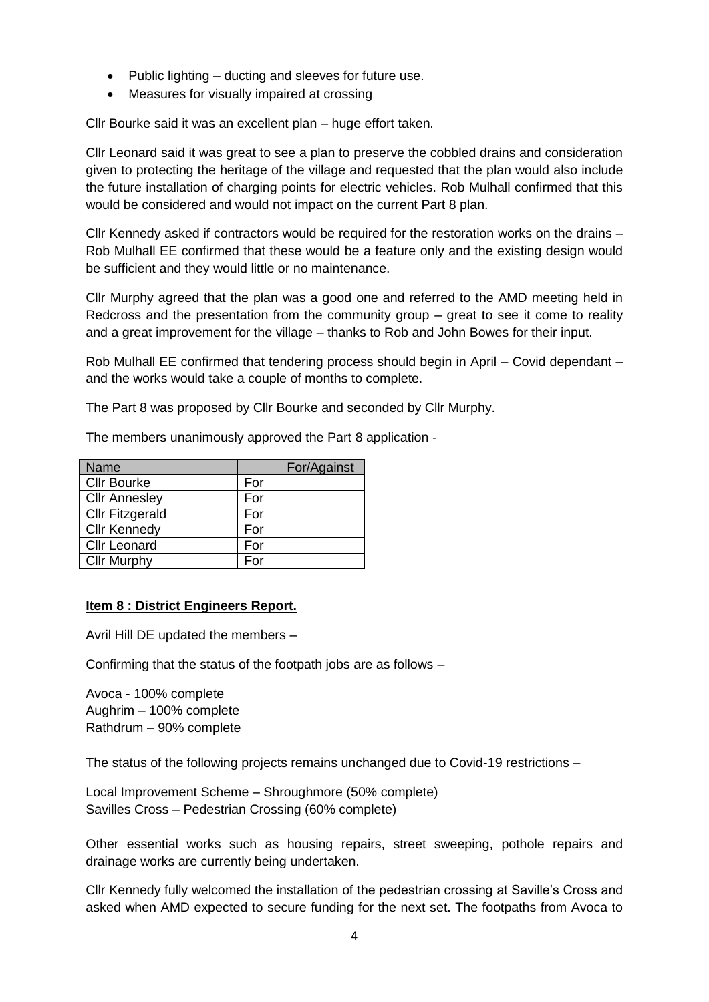- $\bullet$  Public lighting ducting and sleeves for future use.
- Measures for visually impaired at crossing

Cllr Bourke said it was an excellent plan – huge effort taken.

Cllr Leonard said it was great to see a plan to preserve the cobbled drains and consideration given to protecting the heritage of the village and requested that the plan would also include the future installation of charging points for electric vehicles. Rob Mulhall confirmed that this would be considered and would not impact on the current Part 8 plan.

Cllr Kennedy asked if contractors would be required for the restoration works on the drains – Rob Mulhall EE confirmed that these would be a feature only and the existing design would be sufficient and they would little or no maintenance.

Cllr Murphy agreed that the plan was a good one and referred to the AMD meeting held in Redcross and the presentation from the community group – great to see it come to reality and a great improvement for the village – thanks to Rob and John Bowes for their input.

Rob Mulhall EE confirmed that tendering process should begin in April – Covid dependant – and the works would take a couple of months to complete.

The Part 8 was proposed by Cllr Bourke and seconded by Cllr Murphy.

| <b>Name</b>            | For/Against |
|------------------------|-------------|
| <b>Cllr Bourke</b>     | For         |
| <b>Cllr Annesley</b>   | For         |
| <b>Cllr Fitzgerald</b> | For         |
| <b>Cllr Kennedy</b>    | For         |
| <b>Cllr Leonard</b>    | For         |
| <b>Cllr Murphy</b>     | For         |

The members unanimously approved the Part 8 application -

#### **Item 8 : District Engineers Report.**

Avril Hill DE updated the members –

Confirming that the status of the footpath jobs are as follows –

Avoca - 100% complete Aughrim – 100% complete Rathdrum – 90% complete

The status of the following projects remains unchanged due to Covid-19 restrictions –

Local Improvement Scheme – Shroughmore (50% complete) Savilles Cross – Pedestrian Crossing (60% complete)

Other essential works such as housing repairs, street sweeping, pothole repairs and drainage works are currently being undertaken.

Cllr Kennedy fully welcomed the installation of the pedestrian crossing at Saville's Cross and asked when AMD expected to secure funding for the next set. The footpaths from Avoca to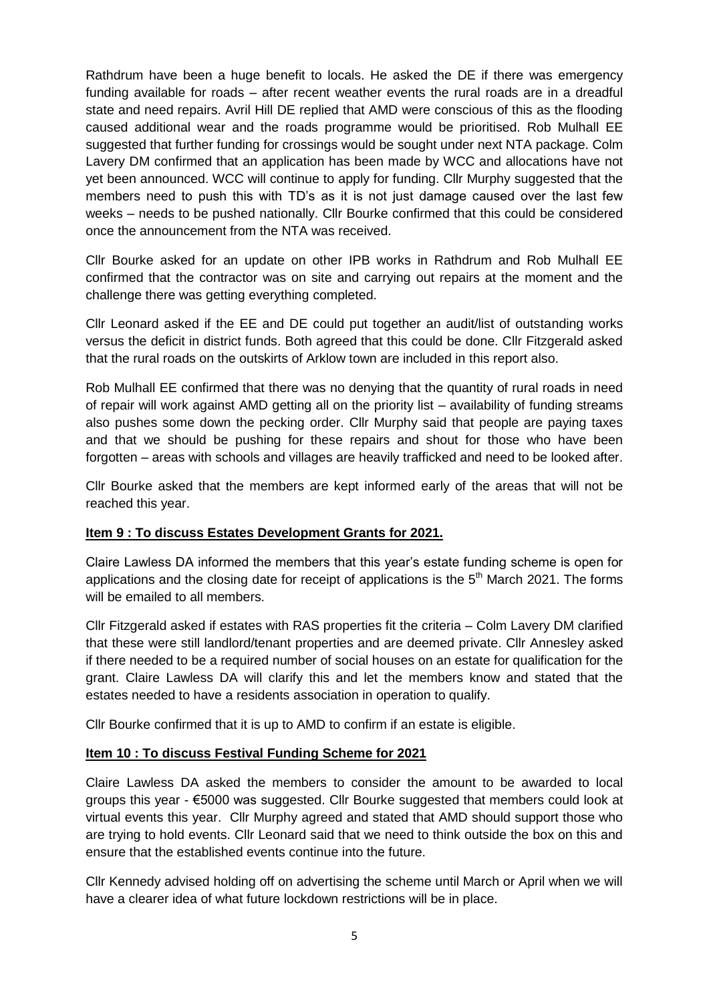Rathdrum have been a huge benefit to locals. He asked the DE if there was emergency funding available for roads – after recent weather events the rural roads are in a dreadful state and need repairs. Avril Hill DE replied that AMD were conscious of this as the flooding caused additional wear and the roads programme would be prioritised. Rob Mulhall EE suggested that further funding for crossings would be sought under next NTA package. Colm Lavery DM confirmed that an application has been made by WCC and allocations have not yet been announced. WCC will continue to apply for funding. Cllr Murphy suggested that the members need to push this with TD's as it is not just damage caused over the last few weeks – needs to be pushed nationally. Cllr Bourke confirmed that this could be considered once the announcement from the NTA was received.

Cllr Bourke asked for an update on other IPB works in Rathdrum and Rob Mulhall EE confirmed that the contractor was on site and carrying out repairs at the moment and the challenge there was getting everything completed.

Cllr Leonard asked if the EE and DE could put together an audit/list of outstanding works versus the deficit in district funds. Both agreed that this could be done. Cllr Fitzgerald asked that the rural roads on the outskirts of Arklow town are included in this report also.

Rob Mulhall EE confirmed that there was no denying that the quantity of rural roads in need of repair will work against AMD getting all on the priority list – availability of funding streams also pushes some down the pecking order. Cllr Murphy said that people are paying taxes and that we should be pushing for these repairs and shout for those who have been forgotten – areas with schools and villages are heavily trafficked and need to be looked after.

Cllr Bourke asked that the members are kept informed early of the areas that will not be reached this year.

#### **Item 9 : To discuss Estates Development Grants for 2021.**

Claire Lawless DA informed the members that this year's estate funding scheme is open for applications and the closing date for receipt of applications is the  $5<sup>th</sup>$  March 2021. The forms will be emailed to all members.

Cllr Fitzgerald asked if estates with RAS properties fit the criteria – Colm Lavery DM clarified that these were still landlord/tenant properties and are deemed private. Cllr Annesley asked if there needed to be a required number of social houses on an estate for qualification for the grant. Claire Lawless DA will clarify this and let the members know and stated that the estates needed to have a residents association in operation to qualify.

Cllr Bourke confirmed that it is up to AMD to confirm if an estate is eligible.

#### **Item 10 : To discuss Festival Funding Scheme for 2021**

Claire Lawless DA asked the members to consider the amount to be awarded to local groups this year - €5000 was suggested. Cllr Bourke suggested that members could look at virtual events this year. Cllr Murphy agreed and stated that AMD should support those who are trying to hold events. Cllr Leonard said that we need to think outside the box on this and ensure that the established events continue into the future.

Cllr Kennedy advised holding off on advertising the scheme until March or April when we will have a clearer idea of what future lockdown restrictions will be in place.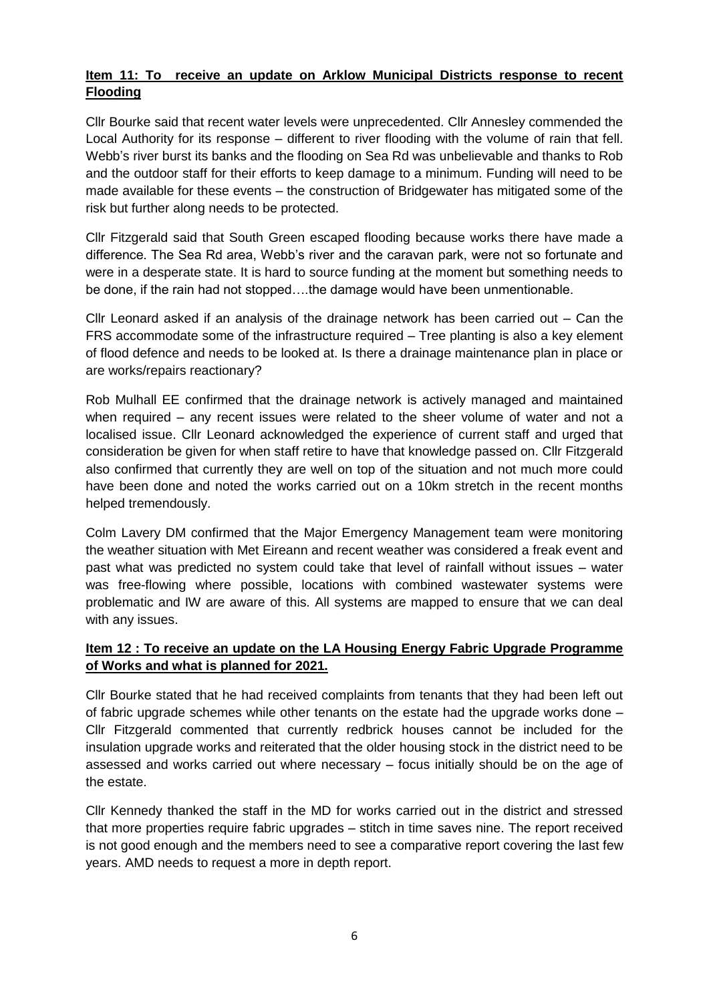# **Item 11: To receive an update on Arklow Municipal Districts response to recent Flooding**

Cllr Bourke said that recent water levels were unprecedented. Cllr Annesley commended the Local Authority for its response – different to river flooding with the volume of rain that fell. Webb's river burst its banks and the flooding on Sea Rd was unbelievable and thanks to Rob and the outdoor staff for their efforts to keep damage to a minimum. Funding will need to be made available for these events – the construction of Bridgewater has mitigated some of the risk but further along needs to be protected.

Cllr Fitzgerald said that South Green escaped flooding because works there have made a difference. The Sea Rd area, Webb's river and the caravan park, were not so fortunate and were in a desperate state. It is hard to source funding at the moment but something needs to be done, if the rain had not stopped….the damage would have been unmentionable.

Cllr Leonard asked if an analysis of the drainage network has been carried out – Can the FRS accommodate some of the infrastructure required – Tree planting is also a key element of flood defence and needs to be looked at. Is there a drainage maintenance plan in place or are works/repairs reactionary?

Rob Mulhall EE confirmed that the drainage network is actively managed and maintained when required – any recent issues were related to the sheer volume of water and not a localised issue. Cllr Leonard acknowledged the experience of current staff and urged that consideration be given for when staff retire to have that knowledge passed on. Cllr Fitzgerald also confirmed that currently they are well on top of the situation and not much more could have been done and noted the works carried out on a 10km stretch in the recent months helped tremendously.

Colm Lavery DM confirmed that the Major Emergency Management team were monitoring the weather situation with Met Eireann and recent weather was considered a freak event and past what was predicted no system could take that level of rainfall without issues – water was free-flowing where possible, locations with combined wastewater systems were problematic and IW are aware of this. All systems are mapped to ensure that we can deal with any issues.

# **Item 12 : To receive an update on the LA Housing Energy Fabric Upgrade Programme of Works and what is planned for 2021.**

Cllr Bourke stated that he had received complaints from tenants that they had been left out of fabric upgrade schemes while other tenants on the estate had the upgrade works done – Cllr Fitzgerald commented that currently redbrick houses cannot be included for the insulation upgrade works and reiterated that the older housing stock in the district need to be assessed and works carried out where necessary – focus initially should be on the age of the estate.

Cllr Kennedy thanked the staff in the MD for works carried out in the district and stressed that more properties require fabric upgrades – stitch in time saves nine. The report received is not good enough and the members need to see a comparative report covering the last few years. AMD needs to request a more in depth report.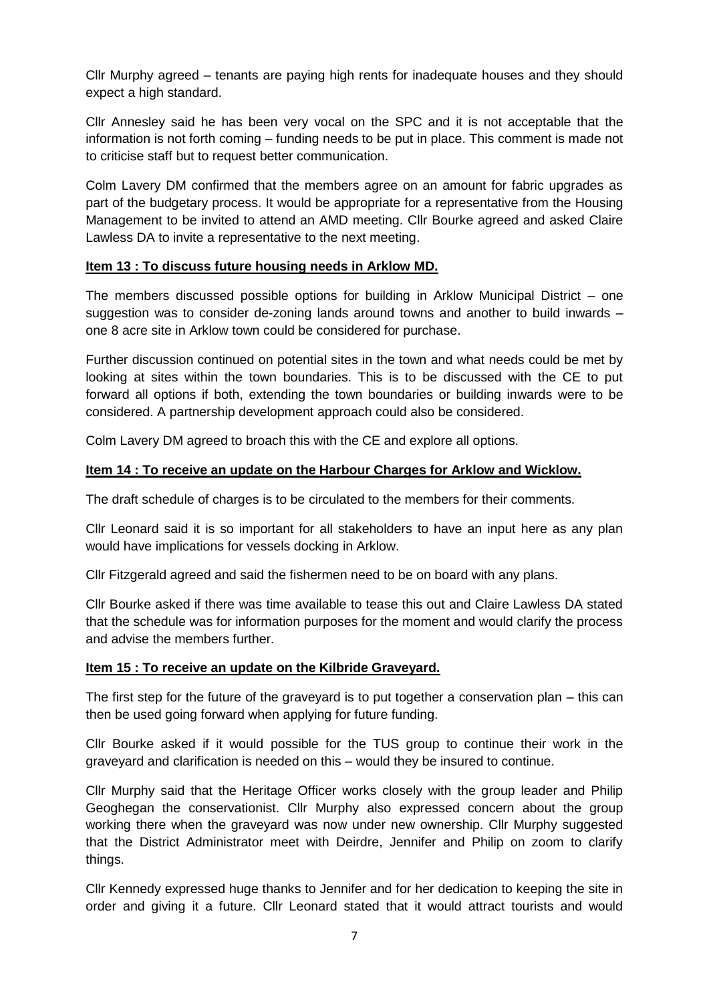Cllr Murphy agreed – tenants are paying high rents for inadequate houses and they should expect a high standard.

Cllr Annesley said he has been very vocal on the SPC and it is not acceptable that the information is not forth coming – funding needs to be put in place. This comment is made not to criticise staff but to request better communication.

Colm Lavery DM confirmed that the members agree on an amount for fabric upgrades as part of the budgetary process. It would be appropriate for a representative from the Housing Management to be invited to attend an AMD meeting. Cllr Bourke agreed and asked Claire Lawless DA to invite a representative to the next meeting.

## **Item 13 : To discuss future housing needs in Arklow MD.**

The members discussed possible options for building in Arklow Municipal District – one suggestion was to consider de-zoning lands around towns and another to build inwards – one 8 acre site in Arklow town could be considered for purchase.

Further discussion continued on potential sites in the town and what needs could be met by looking at sites within the town boundaries. This is to be discussed with the CE to put forward all options if both, extending the town boundaries or building inwards were to be considered. A partnership development approach could also be considered.

Colm Lavery DM agreed to broach this with the CE and explore all options.

## **Item 14 : To receive an update on the Harbour Charges for Arklow and Wicklow.**

The draft schedule of charges is to be circulated to the members for their comments.

Cllr Leonard said it is so important for all stakeholders to have an input here as any plan would have implications for vessels docking in Arklow.

Cllr Fitzgerald agreed and said the fishermen need to be on board with any plans.

Cllr Bourke asked if there was time available to tease this out and Claire Lawless DA stated that the schedule was for information purposes for the moment and would clarify the process and advise the members further.

#### **Item 15 : To receive an update on the Kilbride Graveyard.**

The first step for the future of the graveyard is to put together a conservation plan – this can then be used going forward when applying for future funding.

Cllr Bourke asked if it would possible for the TUS group to continue their work in the graveyard and clarification is needed on this – would they be insured to continue.

Cllr Murphy said that the Heritage Officer works closely with the group leader and Philip Geoghegan the conservationist. Cllr Murphy also expressed concern about the group working there when the graveyard was now under new ownership. Cllr Murphy suggested that the District Administrator meet with Deirdre, Jennifer and Philip on zoom to clarify things.

Cllr Kennedy expressed huge thanks to Jennifer and for her dedication to keeping the site in order and giving it a future. Cllr Leonard stated that it would attract tourists and would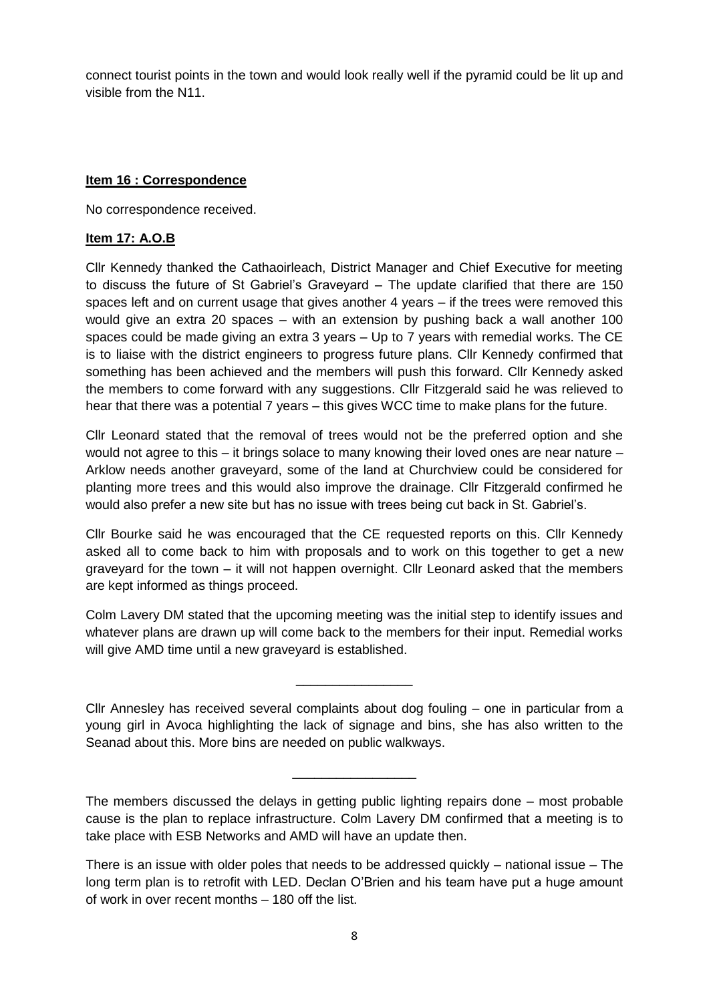connect tourist points in the town and would look really well if the pyramid could be lit up and visible from the N11.

#### **Item 16 : Correspondence**

No correspondence received.

## **Item 17: A.O.B**

Cllr Kennedy thanked the Cathaoirleach, District Manager and Chief Executive for meeting to discuss the future of St Gabriel's Graveyard – The update clarified that there are 150 spaces left and on current usage that gives another 4 years – if the trees were removed this would give an extra 20 spaces – with an extension by pushing back a wall another 100 spaces could be made giving an extra 3 years – Up to 7 years with remedial works. The CE is to liaise with the district engineers to progress future plans. Cllr Kennedy confirmed that something has been achieved and the members will push this forward. Cllr Kennedy asked the members to come forward with any suggestions. Cllr Fitzgerald said he was relieved to hear that there was a potential 7 years – this gives WCC time to make plans for the future.

Cllr Leonard stated that the removal of trees would not be the preferred option and she would not agree to this – it brings solace to many knowing their loved ones are near nature – Arklow needs another graveyard, some of the land at Churchview could be considered for planting more trees and this would also improve the drainage. Cllr Fitzgerald confirmed he would also prefer a new site but has no issue with trees being cut back in St. Gabriel's.

Cllr Bourke said he was encouraged that the CE requested reports on this. Cllr Kennedy asked all to come back to him with proposals and to work on this together to get a new graveyard for the town – it will not happen overnight. Cllr Leonard asked that the members are kept informed as things proceed.

Colm Lavery DM stated that the upcoming meeting was the initial step to identify issues and whatever plans are drawn up will come back to the members for their input. Remedial works will give AMD time until a new graveyard is established.

\_\_\_\_\_\_\_\_\_\_\_\_\_\_\_\_

Cllr Annesley has received several complaints about dog fouling – one in particular from a young girl in Avoca highlighting the lack of signage and bins, she has also written to the Seanad about this. More bins are needed on public walkways.

The members discussed the delays in getting public lighting repairs done – most probable cause is the plan to replace infrastructure. Colm Lavery DM confirmed that a meeting is to take place with ESB Networks and AMD will have an update then.

\_\_\_\_\_\_\_\_\_\_\_\_\_\_\_\_\_

There is an issue with older poles that needs to be addressed quickly – national issue – The long term plan is to retrofit with LED. Declan O'Brien and his team have put a huge amount of work in over recent months – 180 off the list.